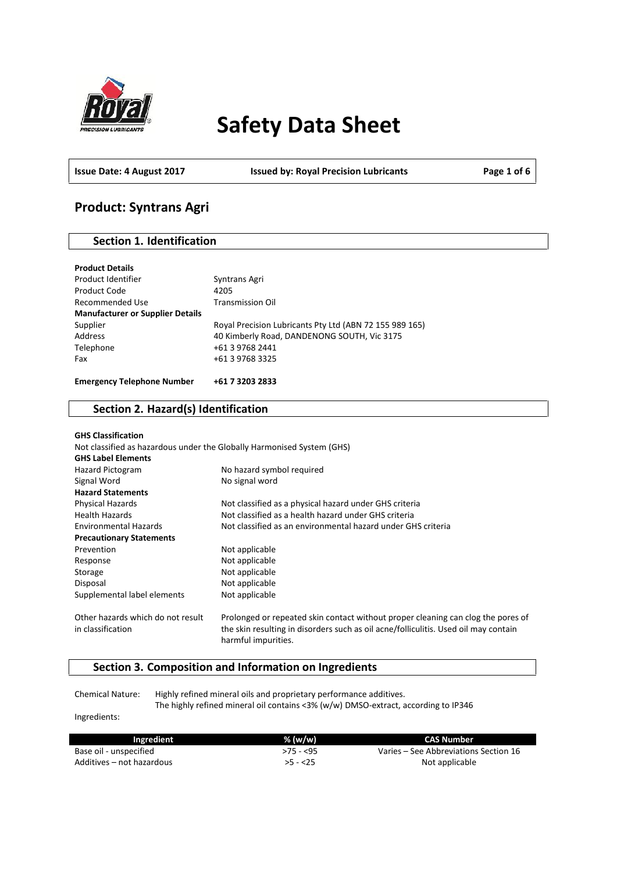

# **Safety Data Sheet**

**Issue Date: 4 August 2017 Issued by: Royal Precision Lubricants Page 1 of 6**

# **Product: Syntrans Agri**

### **Section 1. Identification**

| <b>Product Details</b>                  |                                                         |
|-----------------------------------------|---------------------------------------------------------|
| Product Identifier                      | Syntrans Agri                                           |
| Product Code                            | 4205                                                    |
| Recommended Use                         | <b>Transmission Oil</b>                                 |
| <b>Manufacturer or Supplier Details</b> |                                                         |
| Supplier                                | Royal Precision Lubricants Pty Ltd (ABN 72 155 989 165) |
| Address                                 | 40 Kimberly Road, DANDENONG SOUTH, Vic 3175             |
| Telephone                               | +61 3 9768 2441                                         |
| Fax                                     | +61 3 9768 3325                                         |
| <b>Emergency Telephone Number</b>       | +61 7 3203 2833                                         |

# **Section 2. Hazard(s) Identification**

| <b>GHS Classification</b>                                              |                                                                                                                                                                                                |
|------------------------------------------------------------------------|------------------------------------------------------------------------------------------------------------------------------------------------------------------------------------------------|
| Not classified as hazardous under the Globally Harmonised System (GHS) |                                                                                                                                                                                                |
| <b>GHS Label Elements</b>                                              |                                                                                                                                                                                                |
| Hazard Pictogram                                                       | No hazard symbol required                                                                                                                                                                      |
| Signal Word                                                            | No signal word                                                                                                                                                                                 |
| <b>Hazard Statements</b>                                               |                                                                                                                                                                                                |
| <b>Physical Hazards</b>                                                | Not classified as a physical hazard under GHS criteria                                                                                                                                         |
| <b>Health Hazards</b>                                                  | Not classified as a health hazard under GHS criteria                                                                                                                                           |
| <b>Environmental Hazards</b>                                           | Not classified as an environmental hazard under GHS criteria                                                                                                                                   |
| <b>Precautionary Statements</b>                                        |                                                                                                                                                                                                |
| Prevention                                                             | Not applicable                                                                                                                                                                                 |
| Response                                                               | Not applicable                                                                                                                                                                                 |
| Storage                                                                | Not applicable                                                                                                                                                                                 |
| Disposal                                                               | Not applicable                                                                                                                                                                                 |
| Supplemental label elements                                            | Not applicable                                                                                                                                                                                 |
| Other hazards which do not result<br>in classification                 | Prolonged or repeated skin contact without proper cleaning can clog the pores of<br>the skin resulting in disorders such as oil acne/folliculitis. Used oil may contain<br>harmful impurities. |

## **Section 3. Composition and Information on Ingredients**

Chemical Nature: Highly refined mineral oils and proprietary performance additives. The highly refined mineral oil contains <3% (w/w) DMSO-extract, according to IP346

Ingredients:

| Ingredient                | % (w/w)   | <b>CAS Number</b>                     |
|---------------------------|-----------|---------------------------------------|
| Base oil - unspecified    | >75 - <95 | Varies – See Abbreviations Section 16 |
| Additives – not hazardous | $>5 - 25$ | Not applicable                        |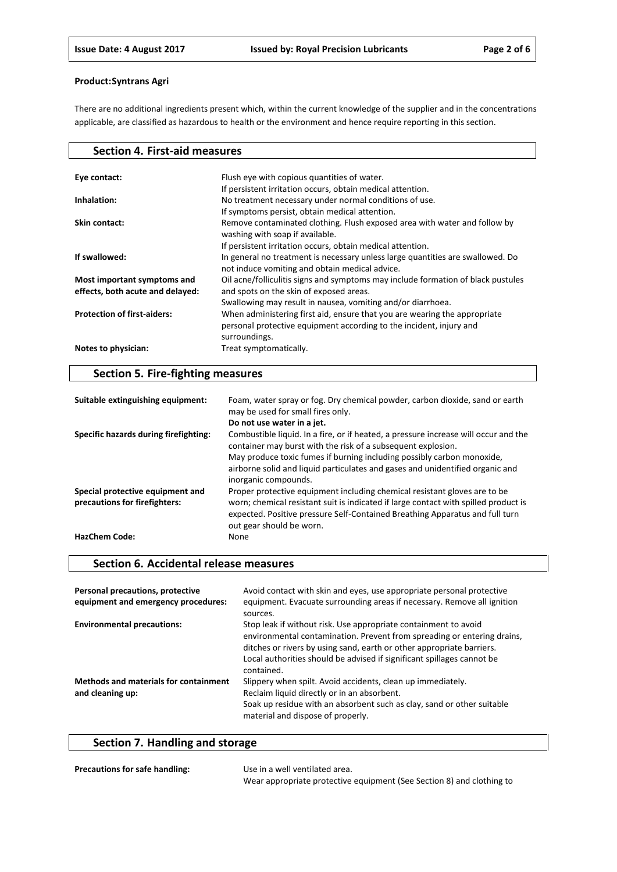There are no additional ingredients present which, within the current knowledge of the supplier and in the concentrations applicable, are classified as hazardous to health or the environment and hence require reporting in this section.

| <b>Section 4. First-aid measures</b>                            |                                                                                                                                                                   |
|-----------------------------------------------------------------|-------------------------------------------------------------------------------------------------------------------------------------------------------------------|
| Eye contact:                                                    | Flush eye with copious quantities of water.                                                                                                                       |
|                                                                 | If persistent irritation occurs, obtain medical attention.                                                                                                        |
| Inhalation:                                                     | No treatment necessary under normal conditions of use.                                                                                                            |
|                                                                 | If symptoms persist, obtain medical attention.                                                                                                                    |
| Skin contact:                                                   | Remove contaminated clothing. Flush exposed area with water and follow by<br>washing with soap if available.                                                      |
|                                                                 | If persistent irritation occurs, obtain medical attention.                                                                                                        |
| If swallowed:                                                   | In general no treatment is necessary unless large quantities are swallowed. Do<br>not induce vomiting and obtain medical advice.                                  |
| Most important symptoms and<br>effects, both acute and delayed: | Oil acne/folliculitis signs and symptoms may include formation of black pustules<br>and spots on the skin of exposed areas.                                       |
|                                                                 | Swallowing may result in nausea, vomiting and/or diarrhoea.                                                                                                       |
| <b>Protection of first-aiders:</b>                              | When administering first aid, ensure that you are wearing the appropriate<br>personal protective equipment according to the incident, injury and<br>surroundings. |
| Notes to physician:                                             | Treat symptomatically.                                                                                                                                            |

# **Section 5. Fire-fighting measures**

| Suitable extinguishing equipment:                                 | Foam, water spray or fog. Dry chemical powder, carbon dioxide, sand or earth<br>may be used for small fires only.<br>Do not use water in a jet.                                                                                                                                                                                        |
|-------------------------------------------------------------------|----------------------------------------------------------------------------------------------------------------------------------------------------------------------------------------------------------------------------------------------------------------------------------------------------------------------------------------|
| Specific hazards during firefighting:                             | Combustible liquid. In a fire, or if heated, a pressure increase will occur and the<br>container may burst with the risk of a subsequent explosion.<br>May produce toxic fumes if burning including possibly carbon monoxide,<br>airborne solid and liquid particulates and gases and unidentified organic and<br>inorganic compounds. |
| Special protective equipment and<br>precautions for firefighters: | Proper protective equipment including chemical resistant gloves are to be<br>worn; chemical resistant suit is indicated if large contact with spilled product is<br>expected. Positive pressure Self-Contained Breathing Apparatus and full turn<br>out gear should be worn.                                                           |
| <b>HazChem Code:</b>                                              | None                                                                                                                                                                                                                                                                                                                                   |

# **Section 6. Accidental release measures**

| Personal precautions, protective<br>equipment and emergency procedures: | Avoid contact with skin and eyes, use appropriate personal protective<br>equipment. Evacuate surrounding areas if necessary. Remove all ignition<br>sources.                                                                                                                                                |
|-------------------------------------------------------------------------|-------------------------------------------------------------------------------------------------------------------------------------------------------------------------------------------------------------------------------------------------------------------------------------------------------------|
| <b>Environmental precautions:</b>                                       | Stop leak if without risk. Use appropriate containment to avoid<br>environmental contamination. Prevent from spreading or entering drains,<br>ditches or rivers by using sand, earth or other appropriate barriers.<br>Local authorities should be advised if significant spillages cannot be<br>contained. |
| <b>Methods and materials for containment</b><br>and cleaning up:        | Slippery when spilt. Avoid accidents, clean up immediately.<br>Reclaim liquid directly or in an absorbent.<br>Soak up residue with an absorbent such as clay, sand or other suitable<br>material and dispose of properly.                                                                                   |

# **Section 7. Handling and storage**

| <b>Precautions for safe handling:</b> | Use in a well ventilated area.                                        |
|---------------------------------------|-----------------------------------------------------------------------|
|                                       | Wear appropriate protective equipment (See Section 8) and clothing to |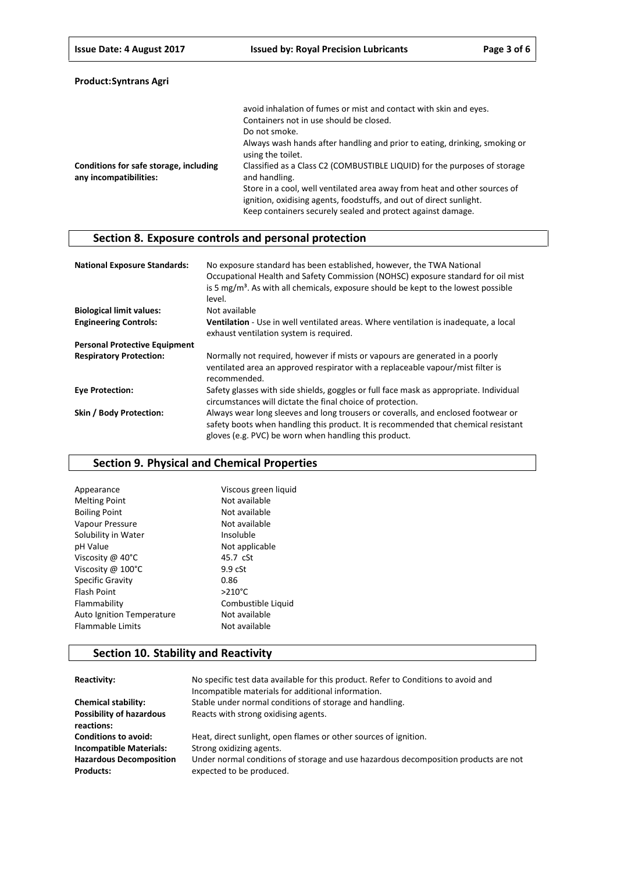|                                                                  | avoid inhalation of fumes or mist and contact with skin and eyes.                               |
|------------------------------------------------------------------|-------------------------------------------------------------------------------------------------|
|                                                                  | Containers not in use should be closed.                                                         |
|                                                                  | Do not smoke.                                                                                   |
|                                                                  | Always wash hands after handling and prior to eating, drinking, smoking or<br>using the toilet. |
| Conditions for safe storage, including<br>any incompatibilities: | Classified as a Class C2 (COMBUSTIBLE LIQUID) for the purposes of storage<br>and handling.      |
|                                                                  | Store in a cool, well ventilated area away from heat and other sources of                       |
|                                                                  | ignition, oxidising agents, foodstuffs, and out of direct sunlight.                             |
|                                                                  | Keep containers securely sealed and protect against damage.                                     |

# **Section 8. Exposure controls and personal protection**

| <b>National Exposure Standards:</b>  | No exposure standard has been established, however, the TWA National<br>Occupational Health and Safety Commission (NOHSC) exposure standard for oil mist<br>is 5 $mg/m3$ . As with all chemicals, exposure should be kept to the lowest possible<br>level. |
|--------------------------------------|------------------------------------------------------------------------------------------------------------------------------------------------------------------------------------------------------------------------------------------------------------|
| <b>Biological limit values:</b>      | Not available                                                                                                                                                                                                                                              |
| <b>Engineering Controls:</b>         | Ventilation - Use in well ventilated areas. Where ventilation is inadequate, a local                                                                                                                                                                       |
|                                      | exhaust ventilation system is required.                                                                                                                                                                                                                    |
| <b>Personal Protective Equipment</b> |                                                                                                                                                                                                                                                            |
| <b>Respiratory Protection:</b>       | Normally not required, however if mists or vapours are generated in a poorly<br>ventilated area an approved respirator with a replaceable vapour/mist filter is<br>recommended.                                                                            |
| <b>Eve Protection:</b>               | Safety glasses with side shields, goggles or full face mask as appropriate. Individual<br>circumstances will dictate the final choice of protection.                                                                                                       |
| Skin / Body Protection:              | Always wear long sleeves and long trousers or coveralls, and enclosed footwear or<br>safety boots when handling this product. It is recommended that chemical resistant<br>gloves (e.g. PVC) be worn when handling this product.                           |

# **Section 9. Physical and Chemical Properties**

| Appearance                | Viscous green liquid |
|---------------------------|----------------------|
| <b>Melting Point</b>      | Not available        |
| <b>Boiling Point</b>      | Not available        |
| Vapour Pressure           | Not available        |
| Solubility in Water       | Insoluble            |
| pH Value                  | Not applicable       |
| Viscosity @ 40°C          | 45.7 cSt             |
| Viscosity $@$ 100 $°C$    | 9.9 <sub>c</sub>     |
| <b>Specific Gravity</b>   | 0.86                 |
| <b>Flash Point</b>        | $>210^{\circ}$ C     |
| Flammability              | Combustible Liquid   |
| Auto Ignition Temperature | Not available        |
| <b>Flammable Limits</b>   | Not available        |

# **Section 10. Stability and Reactivity**

| <b>Reactivity:</b>                                 | No specific test data available for this product. Refer to Conditions to avoid and<br>Incompatible materials for additional information. |
|----------------------------------------------------|------------------------------------------------------------------------------------------------------------------------------------------|
| <b>Chemical stability:</b>                         | Stable under normal conditions of storage and handling.                                                                                  |
| <b>Possibility of hazardous</b><br>reactions:      | Reacts with strong oxidising agents.                                                                                                     |
| <b>Conditions to avoid:</b>                        | Heat, direct sunlight, open flames or other sources of ignition.                                                                         |
| <b>Incompatible Materials:</b>                     | Strong oxidizing agents.                                                                                                                 |
| <b>Hazardous Decomposition</b><br><b>Products:</b> | Under normal conditions of storage and use hazardous decomposition products are not<br>expected to be produced.                          |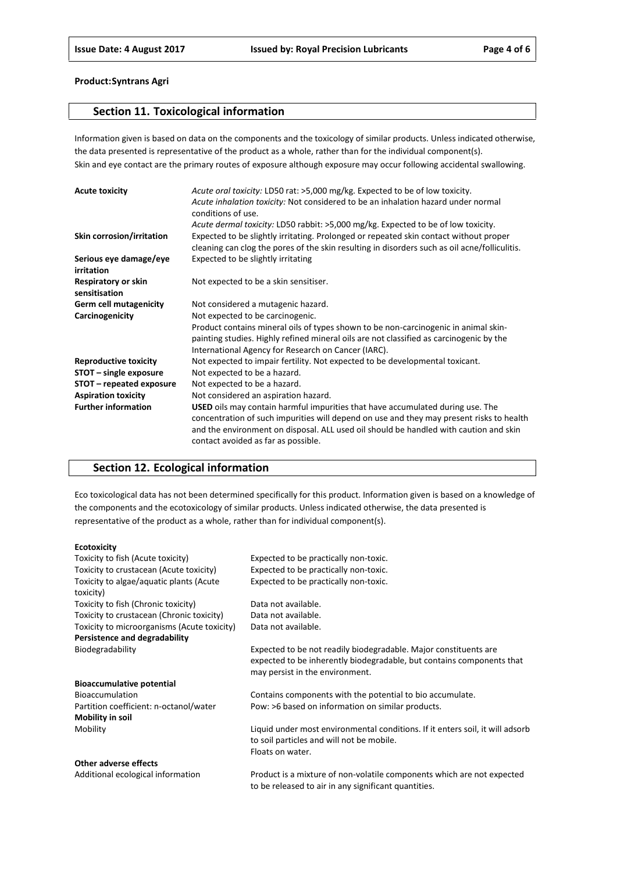## **Section 11. Toxicological information**

Information given is based on data on the components and the toxicology of similar products. Unless indicated otherwise, the data presented is representative of the product as a whole, rather than for the individual component(s). Skin and eye contact are the primary routes of exposure although exposure may occur following accidental swallowing.

| <b>Acute toxicity</b>                | Acute oral toxicity: LD50 rat: >5,000 mg/kg. Expected to be of low toxicity.                  |
|--------------------------------------|-----------------------------------------------------------------------------------------------|
|                                      | Acute inhalation toxicity: Not considered to be an inhalation hazard under normal             |
|                                      | conditions of use.                                                                            |
|                                      | Acute dermal toxicity: LD50 rabbit: >5,000 mg/kg. Expected to be of low toxicity.             |
| Skin corrosion/irritation            | Expected to be slightly irritating. Prolonged or repeated skin contact without proper         |
|                                      | cleaning can clog the pores of the skin resulting in disorders such as oil acne/folliculitis. |
| Serious eye damage/eye<br>irritation | Expected to be slightly irritating                                                            |
| Respiratory or skin<br>sensitisation | Not expected to be a skin sensitiser.                                                         |
| <b>Germ cell mutagenicity</b>        | Not considered a mutagenic hazard.                                                            |
| Carcinogenicity                      | Not expected to be carcinogenic.                                                              |
|                                      | Product contains mineral oils of types shown to be non-carcinogenic in animal skin-           |
|                                      | painting studies. Highly refined mineral oils are not classified as carcinogenic by the       |
|                                      | International Agency for Research on Cancer (IARC).                                           |
| <b>Reproductive toxicity</b>         | Not expected to impair fertility. Not expected to be developmental toxicant.                  |
| STOT - single exposure               | Not expected to be a hazard.                                                                  |
| STOT – repeated exposure             | Not expected to be a hazard.                                                                  |
| <b>Aspiration toxicity</b>           | Not considered an aspiration hazard.                                                          |
| <b>Further information</b>           | <b>USED</b> oils may contain harmful impurities that have accumulated during use. The         |
|                                      | concentration of such impurities will depend on use and they may present risks to health      |
|                                      | and the environment on disposal. ALL used oil should be handled with caution and skin         |
|                                      | contact avoided as far as possible.                                                           |

# **Section 12. Ecological information**

Eco toxicological data has not been determined specifically for this product. Information given is based on a knowledge of the components and the ecotoxicology of similar products. Unless indicated otherwise, the data presented is representative of the product as a whole, rather than for individual component(s).

#### **Ecotoxicity**

| Toxicity to fish (Acute toxicity)                    | Expected to be practically non-toxic.                                                                                                                                        |
|------------------------------------------------------|------------------------------------------------------------------------------------------------------------------------------------------------------------------------------|
| Toxicity to crustacean (Acute toxicity)              | Expected to be practically non-toxic.                                                                                                                                        |
| Toxicity to algae/aquatic plants (Acute<br>toxicity) | Expected to be practically non-toxic.                                                                                                                                        |
| Toxicity to fish (Chronic toxicity)                  | Data not available.                                                                                                                                                          |
| Toxicity to crustacean (Chronic toxicity)            | Data not available.                                                                                                                                                          |
| Toxicity to microorganisms (Acute toxicity)          | Data not available.                                                                                                                                                          |
| Persistence and degradability                        |                                                                                                                                                                              |
| Biodegradability                                     | Expected to be not readily biodegradable. Major constituents are<br>expected to be inherently biodegradable, but contains components that<br>may persist in the environment. |
| <b>Bioaccumulative potential</b>                     |                                                                                                                                                                              |
| <b>Bioaccumulation</b>                               | Contains components with the potential to bio accumulate.                                                                                                                    |
| Partition coefficient: n-octanol/water               | Pow: >6 based on information on similar products.                                                                                                                            |
| Mobility in soil                                     |                                                                                                                                                                              |
| Mobility                                             | Liquid under most environmental conditions. If it enters soil, it will adsorb<br>to soil particles and will not be mobile.<br>Floats on water.                               |
| <b>Other adverse effects</b>                         |                                                                                                                                                                              |
| Additional acological information                    | Draduct is a mixture of non volatile components which are not expected                                                                                                       |

Additional ecological information Product is a mixture of non-volatile components which are not expected to be released to air in any significant quantities.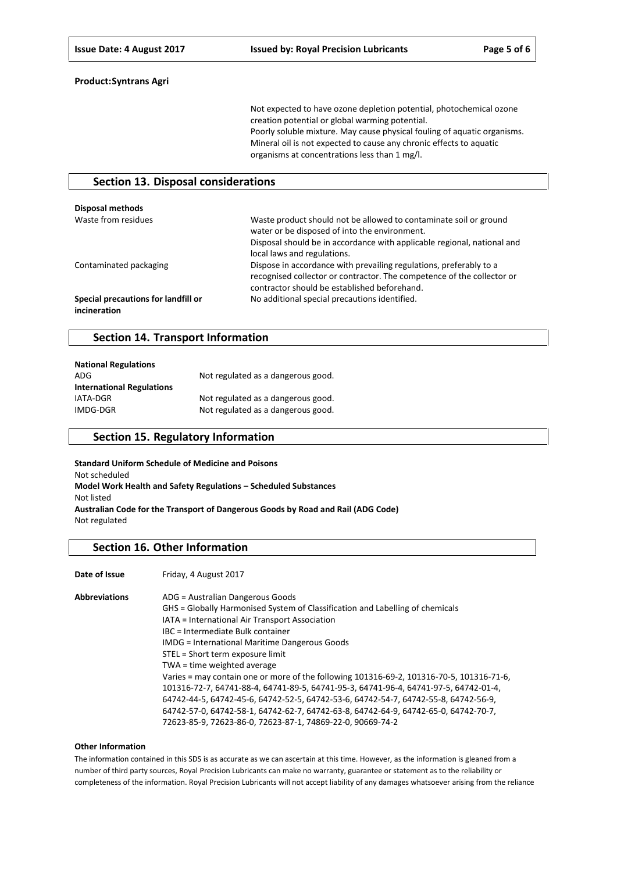Not expected to have ozone depletion potential, photochemical ozone creation potential or global warming potential. Poorly soluble mixture. May cause physical fouling of aquatic organisms. Mineral oil is not expected to cause any chronic effects to aquatic organisms at concentrations less than 1 mg/l.

#### **Section 13. Disposal considerations**

| Disposal methods                                    |                                                                                                                                                                                                                              |
|-----------------------------------------------------|------------------------------------------------------------------------------------------------------------------------------------------------------------------------------------------------------------------------------|
| Waste from residues                                 | Waste product should not be allowed to contaminate soil or ground<br>water or be disposed of into the environment.<br>Disposal should be in accordance with applicable regional, national and<br>local laws and regulations. |
| Contaminated packaging                              | Dispose in accordance with prevailing regulations, preferably to a<br>recognised collector or contractor. The competence of the collector or<br>contractor should be established beforehand.                                 |
| Special precautions for landfill or<br>incineration | No additional special precautions identified.                                                                                                                                                                                |

#### **Section 14. Transport Information**

| <b>National Regulations</b>      |                                    |
|----------------------------------|------------------------------------|
| ADG                              | Not regulated as a dangerous good. |
| <b>International Regulations</b> |                                    |
| IATA-DGR                         | Not regulated as a dangerous good. |
| IMDG-DGR                         | Not regulated as a dangerous good. |

## **Section 15. Regulatory Information**

**Standard Uniform Schedule of Medicine and Poisons** Not scheduled **Model Work Health and Safety Regulations – Scheduled Substances** Not listed **Australian Code for the Transport of Dangerous Goods by Road and Rail (ADG Code)** Not regulated

## **Section 16. Other Information**

**Date of Issue** Friday, 4 August 2017

| <b>Abbreviations</b> | ADG = Australian Dangerous Goods                                                         |
|----------------------|------------------------------------------------------------------------------------------|
|                      | GHS = Globally Harmonised System of Classification and Labelling of chemicals            |
|                      | IATA = International Air Transport Association                                           |
|                      | IBC = Intermediate Bulk container                                                        |
|                      | <b>IMDG</b> = International Maritime Dangerous Goods                                     |
|                      | STEL = Short term exposure limit                                                         |
|                      | TWA = time weighted average                                                              |
|                      | Varies = may contain one or more of the following 101316-69-2, 101316-70-5, 101316-71-6, |
|                      | 101316-72-7, 64741-88-4, 64741-89-5, 64741-95-3, 64741-96-4, 64741-97-5, 64742-01-4,     |
|                      | 64742-44-5, 64742-45-6, 64742-52-5, 64742-53-6, 64742-54-7, 64742-55-8, 64742-56-9,      |
|                      | 64742-57-0, 64742-58-1, 64742-62-7, 64742-63-8, 64742-64-9, 64742-65-0, 64742-70-7,      |
|                      | 72623-85-9, 72623-86-0, 72623-87-1, 74869-22-0, 90669-74-2                               |

#### **Other Information**

The information contained in this SDS is as accurate as we can ascertain at this time. However, as the information is gleaned from a number of third party sources, Royal Precision Lubricants can make no warranty, guarantee or statement as to the reliability or completeness of the information. Royal Precision Lubricants will not accept liability of any damages whatsoever arising from the reliance